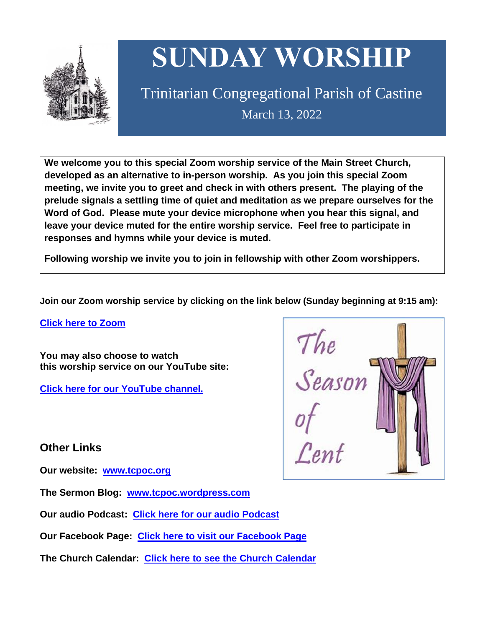

# **SUNDAY WORSHIP**

Trinitarian Congregational Parish of Castine March 13, 2022

**We welcome you to this special Zoom worship service of the Main Street Church, developed as an alternative to in-person worship. As you join this special Zoom meeting, we invite you to greet and check in with others present. The playing of the prelude signals a settling time of quiet and meditation as we prepare ourselves for the Word of God. Please mute your device microphone when you hear this signal, and leave your device muted for the entire worship service. Feel free to participate in responses and hymns while your device is muted.**

**Following worship we invite you to join in fellowship with other Zoom worshippers.**

**Join our Zoom worship service by clicking on the link below (Sunday beginning at 9:15 am):**

**Click here to [Zoom](https://us02web.zoom.us/j/89573448511?pwd=MFRuSFBJR2NWL015RzlyZ1UycmROQT09)**

**You may also choose to watch this worship service on our YouTube site:**

**Click here for our [YouTube](https://www.youtube.com/channel/UC4Bu-O6pN-bdPOqVNg0fBxA) channel.**

**Other Links**

**Our website: [www.tcpoc.org](http://www.tcpoc.org/)**

**The Sermon Blog: [www.tcpoc.wordpress.com](http://www.tcpoc.wordpress.com/)**

**Our audio Podcast: Click here for our audio [Podcast](https://podpoint.com/trinitarian-congregational-parish-of-castine-podcast)**

**Our Facebook Page: Click here to visit our [Facebook](https://www.facebook.com/tcpoc) Page**

**The Church Calendar: Click here to see the Church [Calendar](http://www.tcpoc.org/calendar.html)**

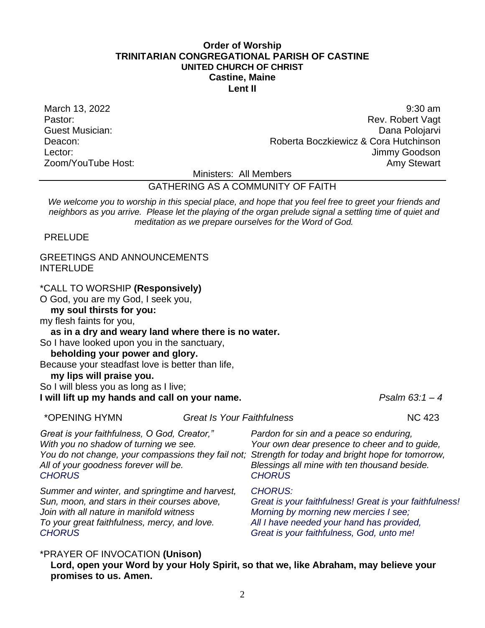#### **Order of Worship TRINITARIAN CONGREGATIONAL PARISH OF CASTINE UNITED CHURCH OF CHRIST Castine, Maine Lent II**

March 13, 2022 9:30 am Pastor: Rev. Robert Vagt Guest Musician: Dana Polojarvi Deacon: Roberta Boczkiewicz & Cora Hutchinson Lector: Jimmy Goodson Zoom/YouTube Host: Amy Stewart Communication and Amy Stewart

Ministers: All Members

#### GATHERING AS A COMMUNITY OF FAITH

*We welcome you to worship in this special place, and hope that you feel free to greet your friends and neighbors as you arrive. Please let the playing of the organ prelude signal a settling time of quiet and meditation as we prepare ourselves for the Word of God.*

## PRELUDE

#### GREETINGS AND ANNOUNCEMENTS **INTERLUDE**

#### \*CALL TO WORSHIP **(Responsively)** O God, you are my God, I seek you, **my soul thirsts for you:** my flesh faints for you, **as in a dry and weary land where there is no water.**

So I have looked upon you in the sanctuary,

#### **beholding your power and glory.**

Because your steadfast love is better than life,

#### **my lips will praise you.**

So I will bless you as long as I live;

**I will lift up my hands and call on your name.** *Psalm 63:1 – 4*

| *OPENING HYMN                                                                                                                                                                                               | <b>Great Is Your Faithfulness</b> |                                                                                                                                                                                                                                                                  | <b>NC 423</b> |
|-------------------------------------------------------------------------------------------------------------------------------------------------------------------------------------------------------------|-----------------------------------|------------------------------------------------------------------------------------------------------------------------------------------------------------------------------------------------------------------------------------------------------------------|---------------|
| Great is your faithfulness, O God, Creator,"<br>With you no shadow of turning we see.<br>All of your goodness forever will be.<br><b>CHORUS</b>                                                             |                                   | Pardon for sin and a peace so enduring,<br>Your own dear presence to cheer and to guide,<br>You do not change, your compassions they fail not; Strength for today and bright hope for tomorrow,<br>Blessings all mine with ten thousand beside.<br><b>CHORUS</b> |               |
| Summer and winter, and springtime and harvest,<br>Sun, moon, and stars in their courses above,<br>Join with all nature in manifold witness<br>To your great faithfulness, mercy, and love.<br><b>CHORUS</b> |                                   | <b>CHORUS:</b><br>Great is your faithfulness! Great is your faithfulness!<br>Morning by morning new mercies I see;<br>All I have needed your hand has provided,<br>Great is your faithfulness, God, unto me!                                                     |               |

#### \*PRAYER OF INVOCATION **(Unison)**

**Lord, open your Word by your Holy Spirit, so that we, like Abraham, may believe your promises to us. Amen.**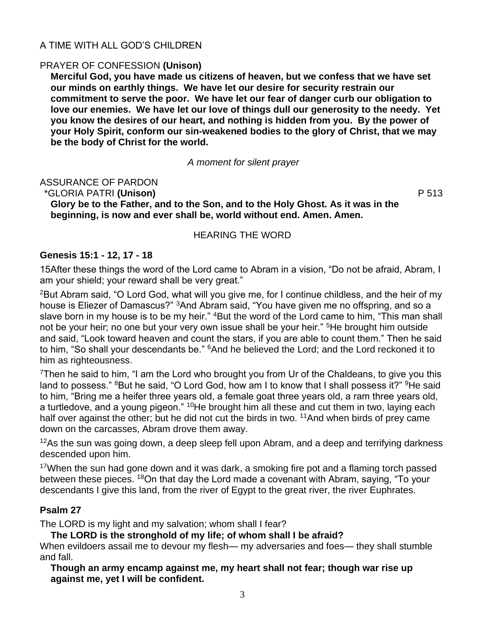# A TIME WITH ALL GOD'S CHILDREN

#### PRAYER OF CONFESSION **(Unison)**

**Merciful God, you have made us citizens of heaven, but we confess that we have set our minds on earthly things. We have let our desire for security restrain our commitment to serve the poor. We have let our fear of danger curb our obligation to love our enemies. We have let our love of things dull our generosity to the needy. Yet you know the desires of our heart, and nothing is hidden from you. By the power of your Holy Spirit, conform our sin-weakened bodies to the glory of Christ, that we may be the body of Christ for the world.**

#### *A moment for silent prayer*

#### ASSURANCE OF PARDON

\*GLORIA PATRI **(Unison)** P 513

**Glory be to the Father, and to the Son, and to the Holy Ghost. As it was in the beginning, is now and ever shall be, world without end. Amen. Amen.**

#### HEARING THE WORD

#### **Genesis 15:1 - 12, 17 - 18**

15After these things the word of the Lord came to Abram in a vision, "Do not be afraid, Abram, I am your shield; your reward shall be very great."

<sup>2</sup>But Abram said, "O Lord God, what will you give me, for I continue childless, and the heir of my house is Eliezer of Damascus?" <sup>3</sup>And Abram said, "You have given me no offspring, and so a slave born in my house is to be my heir." <sup>4</sup>But the word of the Lord came to him, "This man shall not be your heir; no one but your very own issue shall be your heir." <sup>5</sup>He brought him outside and said, "Look toward heaven and count the stars, if you are able to count them." Then he said to him, "So shall your descendants be." <sup>6</sup>And he believed the Lord; and the Lord reckoned it to him as righteousness.

 $7$ Then he said to him, "I am the Lord who brought you from Ur of the Chaldeans, to give you this land to possess." <sup>8</sup>But he said, "O Lord God, how am I to know that I shall possess it?" <sup>9</sup>He said to him, "Bring me a heifer three years old, a female goat three years old, a ram three years old, a turtledove, and a young pigeon." <sup>10</sup>He brought him all these and cut them in two, laying each half over against the other; but he did not cut the birds in two. <sup>11</sup>And when birds of prey came down on the carcasses, Abram drove them away.

 $12$ As the sun was going down, a deep sleep fell upon Abram, and a deep and terrifying darkness descended upon him.

<sup>17</sup>When the sun had gone down and it was dark, a smoking fire pot and a flaming torch passed between these pieces. <sup>18</sup>On that day the Lord made a covenant with Abram, saying, "To your descendants I give this land, from the river of Egypt to the great river, the river Euphrates.

#### **Psalm 27**

The LORD is my light and my salvation; whom shall I fear?

**The LORD is the stronghold of my life; of whom shall I be afraid?** 

When evildoers assail me to devour my flesh— my adversaries and foes— they shall stumble and fall.

**Though an army encamp against me, my heart shall not fear; though war rise up against me, yet I will be confident.**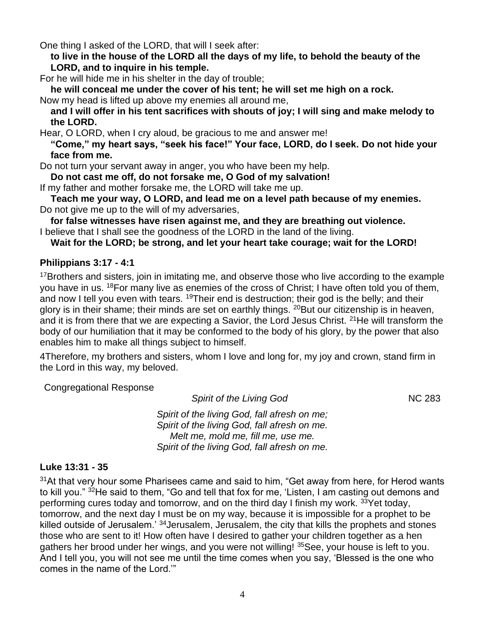One thing I asked of the LORD, that will I seek after:

**to live in the house of the LORD all the days of my life, to behold the beauty of the LORD, and to inquire in his temple.** 

For he will hide me in his shelter in the day of trouble;

**he will conceal me under the cover of his tent; he will set me high on a rock.** 

Now my head is lifted up above my enemies all around me,

**and I will offer in his tent sacrifices with shouts of joy; I will sing and make melody to the LORD.** 

Hear, O LORD, when I cry aloud, be gracious to me and answer me!

**"Come," my heart says, "seek his face!" Your face, LORD, do I seek. Do not hide your face from me.** 

Do not turn your servant away in anger, you who have been my help.

**Do not cast me off, do not forsake me, O God of my salvation!** 

If my father and mother forsake me, the LORD will take me up.

**Teach me your way, O LORD, and lead me on a level path because of my enemies.**  Do not give me up to the will of my adversaries,

**for false witnesses have risen against me, and they are breathing out violence.**  I believe that I shall see the goodness of the LORD in the land of the living.

**Wait for the LORD; be strong, and let your heart take courage; wait for the LORD!** 

# **Philippians 3:17 - 4:1**

<sup>17</sup>Brothers and sisters, join in imitating me, and observe those who live according to the example you have in us. <sup>18</sup>For many live as enemies of the cross of Christ; I have often told you of them, and now I tell you even with tears. <sup>19</sup>Their end is destruction; their god is the belly; and their glory is in their shame; their minds are set on earthly things. <sup>20</sup>But our citizenship is in heaven, and it is from there that we are expecting a Savior, the Lord Jesus Christ. <sup>21</sup>He will transform the body of our humiliation that it may be conformed to the body of his glory, by the power that also enables him to make all things subject to himself.

4Therefore, my brothers and sisters, whom I love and long for, my joy and crown, stand firm in the Lord in this way, my beloved.

Congregational Response

**Spirit of the Living God** NC 283

*Spirit of the living God, fall afresh on me; Spirit of the living God, fall afresh on me. Melt me, mold me, fill me, use me. Spirit of the living God, fall afresh on me.*

# **Luke 13:31 - 35**

<sup>31</sup>At that very hour some Pharisees came and said to him, "Get away from here, for Herod wants to kill you." <sup>32</sup>He said to them, "Go and tell that fox for me, 'Listen, I am casting out demons and performing cures today and tomorrow, and on the third day I finish my work. <sup>33</sup>Yet today, tomorrow, and the next day I must be on my way, because it is impossible for a prophet to be killed outside of Jerusalem.' <sup>34</sup> Jerusalem, Jerusalem, the city that kills the prophets and stones those who are sent to it! How often have I desired to gather your children together as a hen gathers her brood under her wings, and you were not willing! <sup>35</sup>See, your house is left to you. And I tell you, you will not see me until the time comes when you say, 'Blessed is the one who comes in the name of the Lord.'"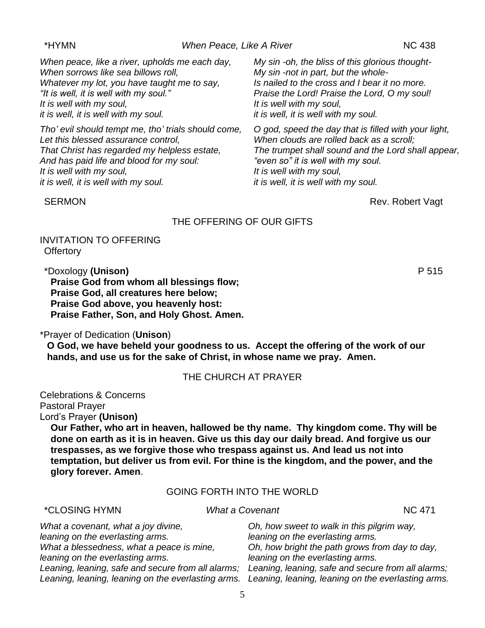| When peace, like a river, upholds me each day,      | My sin -oh, the bliss of this glorious thought-      |
|-----------------------------------------------------|------------------------------------------------------|
| When sorrows like sea billows roll,                 | My sin -not in part, but the whole-                  |
| Whatever my lot, you have taught me to say,         | Is nailed to the cross and I bear it no more.        |
| "It is well, it is well with my soul."              | Praise the Lord! Praise the Lord, O my soul!         |
| It is well with my soul,                            | It is well with my soul,                             |
| it is well, it is well with my soul.                | it is well, it is well with my soul.                 |
| Tho' evil should tempt me, tho' trials should come, | O god, speed the day that is filled with your light, |
| Let this blessed assurance control,                 | When clouds are rolled back as a scroll;             |
| That Christ has regarded my helpless estate,        | The trumpet shall sound and the Lord shall appear,   |
| And has paid life and blood for my soul:            | "even so" it is well with my soul.                   |
| It is well with my soul,                            | It is well with my soul,                             |
| it is well, it is well with my soul.                | it is well, it is well with my soul.                 |

\*HYMN *When Peace, Like A River* NC 438

SERMON Rev. Robert Vagt

#### THE OFFERING OF OUR GIFTS

INVITATION TO OFFERING **Offertory** 

\*Doxology **(Unison)** P 515 **Praise God from whom all blessings flow; Praise God, all creatures here below; Praise God above, you heavenly host:**

**Praise Father, Son, and Holy Ghost. Amen.**

\*Prayer of Dedication (**Unison**)

**O God, we have beheld your goodness to us. Accept the offering of the work of our hands, and use us for the sake of Christ, in whose name we pray. Amen.**

# THE CHURCH AT PRAYER

Celebrations & Concerns Pastoral Prayer Lord's Prayer **(Unison)**

**Our Father, who art in heaven, hallowed be thy name. Thy kingdom come. Thy will be done on earth as it is in heaven. Give us this day our daily bread. And forgive us our trespasses, as we forgive those who trespass against us. And lead us not into temptation, but deliver us from evil. For thine is the kingdom, and the power, and the glory forever. Amen**.

#### GOING FORTH INTO THE WORLD

| <i>*CLOSING HYMN</i>                                                                                  | <b>What a Covenant</b>                             | <b>NC 471</b>                                  |  |
|-------------------------------------------------------------------------------------------------------|----------------------------------------------------|------------------------------------------------|--|
| What a covenant, what a joy divine,                                                                   | Oh, how sweet to walk in this pilgrim way,         |                                                |  |
| leaning on the everlasting arms.                                                                      | leaning on the everlasting arms.                   |                                                |  |
| What a blessedness, what a peace is mine,                                                             |                                                    | Oh, how bright the path grows from day to day, |  |
| leaning on the everlasting arms.                                                                      | leaning on the everlasting arms.                   |                                                |  |
| Leaning, leaning, safe and secure from all alarms;                                                    | Leaning, leaning, safe and secure from all alarms; |                                                |  |
| Leaning, leaning, leaning on the everlasting arms. Leaning, leaning, leaning on the everlasting arms. |                                                    |                                                |  |